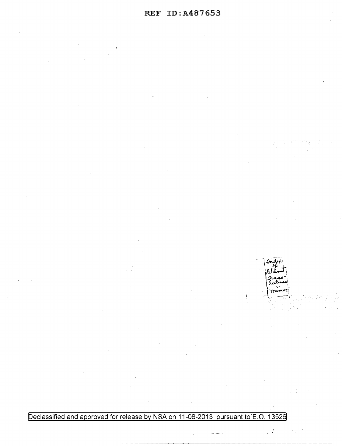Declassified and approved for release by NSA on 11-08-2013 pursuant to E.O. 13526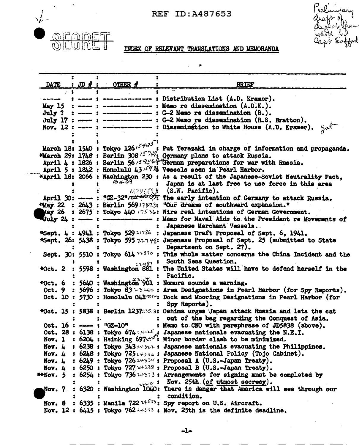

 $\mathbf{v}_i$ 

## Preli mary artel ∙ U

## INDEX OF RELEVANT TRANSLATIONS AND MEMORANDA

|        | DATE : JD $#$ : OTHER $#$                    | <b>BRIEF</b>                                                                                                                                                                                |  |  |
|--------|----------------------------------------------|---------------------------------------------------------------------------------------------------------------------------------------------------------------------------------------------|--|--|
|        |                                              |                                                                                                                                                                                             |  |  |
|        |                                              | : ---- : --------------- : Distribution List (A.D. Kramer).                                                                                                                                 |  |  |
|        |                                              | May 15 : $---$ : $---$ = $---$ : Memo re dissemination $(A.D.K.)$ .                                                                                                                         |  |  |
|        |                                              | July ? : ---- : --------------- : G-2 Memo re dissemination (B.).                                                                                                                           |  |  |
|        |                                              | July 17 :  : ---------------- : G-2 Memo re dissemination (R.S. Bratton).                                                                                                                   |  |  |
|        |                                              | Nov. 12 : ---- : -------------- : Dissemination to White House (A.D. Kramer).                                                                                                               |  |  |
|        |                                              |                                                                                                                                                                                             |  |  |
|        |                                              | March 18: 1540 : Tokyo 126 <sup>15425</sup> ; Put Terazaki in charge of information and propaganda.<br><b>*March 29: 1746 : Berlin 308<sup>15744</sup>: Germany plans to attack Russia.</b> |  |  |
|        |                                              |                                                                                                                                                                                             |  |  |
|        |                                              | April 4 : 1826 : Berlin 56/59364 Terman preparations for war with Russia.                                                                                                                   |  |  |
|        |                                              | April 5: 1842: Honolulu 43 <sup>1597</sup> 4 Vessels seen in Pearl Harbor.                                                                                                                  |  |  |
|        |                                              | *April 18: 2066 : Washington 230 : As a result of the Japanese-Soviet Neutrality Pact,                                                                                                      |  |  |
|        | 16409                                        | : Japan is at last free to use force in this area                                                                                                                                           |  |  |
|        |                                              | $162\%$ (S.W. Pacific).                                                                                                                                                                     |  |  |
|        |                                              | April 30: --- : "(2-32" / 2 + 4). The early intention of Germany to attack Russia.                                                                                                          |  |  |
|        |                                              | *May 22 : 2643 : Berlin 569/7473: "Our dreams of southward expansion."                                                                                                                      |  |  |
|        |                                              | May 26 : 2675 : Tokyo 440 $17536$ : Wire real intentions of German Government.                                                                                                              |  |  |
|        |                                              | Uuly 24 : ---- : -------------- : Memo for Naval Aids to the President re Movements of                                                                                                      |  |  |
|        |                                              | : Japanese Merchant Vessels.                                                                                                                                                                |  |  |
|        |                                              | *Sept. 4 : 4941 : Tokyo 529 <sup>21786</sup> : Japanese Draft Proposal of Sept. 6, 1941.                                                                                                    |  |  |
|        |                                              | *Sept. 26: 5438 : Tokyo 595 $227\frac{1}{3}$ Japanese Proposal of Sept. 25 (submitted to State                                                                                              |  |  |
|        |                                              | : Department on Sept. 27).                                                                                                                                                                  |  |  |
|        |                                              | Sept. 30: 5510 : Tokyo 614 $1.2870$ : This whole matter concerns the China Incident and the                                                                                                 |  |  |
|        |                                              | 22987 : South Seas Question.                                                                                                                                                                |  |  |
|        |                                              | *Oct. 2: 5598: Washington 881: The United States will have to defend herself in the                                                                                                         |  |  |
|        |                                              |                                                                                                                                                                                             |  |  |
|        |                                              | $*$ Oct. 6 : 5640 : Washington <sup>31</sup> 901 : Pacific.                                                                                                                                 |  |  |
|        |                                              | Oct. 9 : 5696 : Tokyo 83 $\rightarrow$ > $\rightarrow$ . Area Designations in Pearl Harbor (for Spy Reports).                                                                               |  |  |
|        |                                              | Oct. 10: 5730: Honolulu O41 <sup>23312</sup> : Dock and Mooring Designations in Pearl Harbor (for                                                                                           |  |  |
|        |                                              | : Spy Reports).                                                                                                                                                                             |  |  |
|        |                                              | *Oct. 15: 5838: Berlin 123723513: Oshima urges Japan attack Russia and lets the cat                                                                                                         |  |  |
|        |                                              | : out of the bag regarding the Conquest of Asia.                                                                                                                                            |  |  |
|        | Oct. 16 : $-\$ : ${}^{n}$ GZ-10 <sup>n</sup> | : Memo to CNO with paraphrase of JD5838 (above).                                                                                                                                            |  |  |
|        |                                              |                                                                                                                                                                                             |  |  |
|        |                                              | Oct. 28 : 6138 : Tokyo 674 14125 : Japanese nationals evacuating the N.E.I.<br>Nov. 1 : 6204 : Hsinking 697 + 12 Minor border clash to be minimized.                                        |  |  |
| Now. 4 |                                              | : 6238 : Tokyo 34324322 : Japanese nationals evacuating the Philippines.                                                                                                                    |  |  |
|        |                                              | Nov. 4 : 6248 : Tokyo 72514332 : Japanese National Policy (Tojo Cabinet).                                                                                                                   |  |  |
|        |                                              | Nov. 4 : 6249 : Tokyo 72624334 : Proposal A (U.S.-Japan Treaty).                                                                                                                            |  |  |
|        |                                              | Nov. 4 : 6250 : Tokyo 727 $+339$ : Proposal B (U.S.-Japan Treaty).                                                                                                                          |  |  |
|        |                                              | **Nov. 5 : 6254 : Tokyo 736 14373 : Arrangements for signing must be completed by                                                                                                           |  |  |
|        |                                              | 24479: Nov. 25th. (of utmost secrecy).                                                                                                                                                      |  |  |
|        |                                              | Nov. $7.$ : 6320 : Washington 1040: There is danger that America will see through our                                                                                                       |  |  |
|        |                                              | : condition.                                                                                                                                                                                |  |  |
|        |                                              | Nov. 8 : 6335 : Manila 722 $2+533$ : Spy report on U.S. Aircraft.                                                                                                                           |  |  |
|        |                                              |                                                                                                                                                                                             |  |  |
|        |                                              | Nov. 12 : 6415 : Tokyo 762 $\rightarrow$ 4373 : Nov. 25th is the definite deadline.                                                                                                         |  |  |

 $-1-$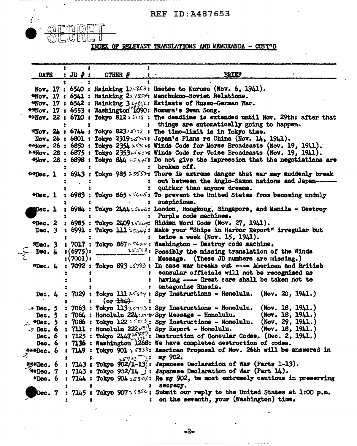

 $\mathbf{r}$  .

INDEX OF RELEVANT TRANSLATIONS AND MEMORANDA - CONT'D

| <b>DATE</b>          |          | : JD $\#$ : OTHER $\#$ | <b>BRIEF</b><br>$\bullet$ .                                                                                                                                                                               |  |  |
|----------------------|----------|------------------------|-----------------------------------------------------------------------------------------------------------------------------------------------------------------------------------------------------------|--|--|
|                      |          |                        | Nov. 17: 6540: Hsinking 124853: Umetsu to Kurusu (Nov. 6, 1941).                                                                                                                                          |  |  |
|                      |          |                        | *Nov. 17: 6541: Hsinking 22+854: Manchukuo-Soviet Relations.                                                                                                                                              |  |  |
|                      |          |                        | *Nov. 17: 6542: Hsinking 324856: Estimate of Russo-German War.                                                                                                                                            |  |  |
|                      |          |                        | **Nov. 17: 6553: Washington <sup>7</sup> 1090: Nomura's Swan Song.                                                                                                                                        |  |  |
|                      |          |                        | **Nov. 22: 6710: Tokyo 812 $>533$ : The deadline is extended until Nov. 29th: after that                                                                                                                  |  |  |
|                      |          |                        | : things are automatically going to happen.                                                                                                                                                               |  |  |
|                      |          |                        | <b>*Nov.</b> $2k$ : $6744$ : Tokyo 823 $25178$ : The time-limit is in Tokyo time.                                                                                                                         |  |  |
|                      |          |                        | Nov. 26 : 6801 : Tokyo 2319 $2512$ : Japan's Plans re China (Nov. 14, 1941).                                                                                                                              |  |  |
|                      |          |                        | <b>**Nov.</b> 26: 6850: Tokyo 2354 $\nu$ 334: Winds Code for Morse Broadcasts (Nov. 19, 1941).                                                                                                            |  |  |
|                      |          |                        | **Nov. 28 : 6875 : Tokyo 2353 $\nu$ 543 $\nu$ : Winds Code for Voice Broadcasts (Nov. 19, 1941).                                                                                                          |  |  |
|                      |          |                        | $\frac{400}{100}$ . 28: 6898: Tokyo 844 $2.5445$ : Do not give the impression that the negotiations are<br>: broken off.                                                                                  |  |  |
| **Dec. l             |          |                        | : 6943 : Tokyo 985 25557: There is extreme danger that war may muddenly break                                                                                                                             |  |  |
|                      |          |                        | : out between the Anglo-Saxon nations and Japan--                                                                                                                                                         |  |  |
|                      |          |                        | : quicker than anyone dreams.                                                                                                                                                                             |  |  |
|                      |          |                        | *Dec. 1 : 6983 : Tokyo 865 $\nu$ 5605: To prevent the United States from becoming unduly                                                                                                                  |  |  |
|                      |          |                        | : suspicious.                                                                                                                                                                                             |  |  |
| $\mathbf{Dec.}$ 1    |          |                        | : 6984 : Tokyo 2444+5606: London, Hongkong, Singapore, and Manila - Destroy                                                                                                                               |  |  |
|                      |          |                        | : Purple code machines.                                                                                                                                                                                   |  |  |
| $*Dec. 2$            |          |                        | : 6985 : Tokyo 2409 25609: Hidden Word Code (Nov. 27, 1941).                                                                                                                                              |  |  |
| Dec. $3$             |          |                        | : 6991 : Tokyo 111 $55644$ : Make your "Ships in Harbor Report" irregular but                                                                                                                             |  |  |
|                      |          |                        | : twice a week (Nov. 15, 1941).                                                                                                                                                                           |  |  |
|                      |          |                        | *Dec. 3 : 7017 : Tokyo 86725640: Washington - Destroy code machine.                                                                                                                                       |  |  |
| Dec. $4$             | :(6975): |                        | $2559\%$ : Possibly the missing translation of the Winds                                                                                                                                                  |  |  |
|                      | :(7001): |                        | : Message. (These JD numbers are missing.)                                                                                                                                                                |  |  |
| #Dec. 4              |          |                        | : 7092 : Tokyo 893 > 593 : In case war breaks out --- American and British                                                                                                                                |  |  |
|                      |          |                        | : consular officials will not be recognized as                                                                                                                                                            |  |  |
|                      |          |                        | : having --- Great care shall be taken not to                                                                                                                                                             |  |  |
|                      |          |                        | : antagonize Russia.                                                                                                                                                                                      |  |  |
|                      |          |                        | Dec. 4 : 7029 : Tokyo 111 25694: Spy Instructions - Honolulu. (Nov. 20, 1941.)                                                                                                                            |  |  |
|                      |          |                        | $\Rightarrow$ Dec. 5: 7063: Tokyo 11325773: Spy Instructions - Honolulu.<br>(Nov. 18, 1941.)                                                                                                              |  |  |
|                      |          |                        | Dec. 5: 7064: Honolulu 224 1517 Py Message - Honolulu.<br>(Now. 18, 1941.)                                                                                                                                |  |  |
| $\therefore$ *Dec. 5 |          |                        | : 7086 : Tokyo 122 $\frac{1}{2}$ Spy Instructions - Honolulu.<br>(Nov. 29, 1941.)                                                                                                                         |  |  |
|                      |          |                        | $\mathcal{P}$ Dec. 6 : 7111 : Honolulu 222 $\mathcal{P}^{(0)}$ : Spy Report - Honolulu. (Nov. 18, 1941.)                                                                                                  |  |  |
|                      |          |                        | Dec. 6 : 7125 : Tokyo $2\mu 47\frac{2583}{5336}$ : Destruction of Consular Codes. (Dec. 2, 1941.)                                                                                                         |  |  |
|                      |          |                        | Dec. 6: 7136: Washington 1268: We have completed destruction of codes.                                                                                                                                    |  |  |
|                      |          |                        | $\texttt{***Dec.}$ 6 : 7149 : Tokyo 901 $_1$ 5838: American Proposal of Nov. 26th will be answered in                                                                                                     |  |  |
|                      |          |                        |                                                                                                                                                                                                           |  |  |
|                      |          |                        | $\frac{7}{3}$ : $\frac{1}{2}$ : $\frac{1}{2}$ : $\frac{1}{2}$ : $\frac{1}{2}$ : $\frac{1}{2}$ : $\frac{1}{2}$ : $\frac{1}{2}$ : $\frac{1}{2}$ : $\frac{1}{2}$ : Japanese Declaration of War (Parts 1-13). |  |  |
|                      |          |                        | $*$ *Bec. 7 : 7143 : Tokyo 902/14 $\beta$ : Japanese Declaration of War (Part 14).                                                                                                                        |  |  |
|                      |          |                        | *Dec. 6 : 7144 : Tokyo 904 $2.53\frac{1}{4}$ : Re my 902, be most extremely cautious in preserving                                                                                                        |  |  |
|                      |          |                        | : secrecy.                                                                                                                                                                                                |  |  |
|                      |          |                        | Dec. 7 : 7145 : Tokyo 907 $\approx$ 585 $\circ$ : Submit our reply to the United States at 1:00 p.m.                                                                                                      |  |  |
|                      |          |                        | : on the seventh, your (Washington) time.                                                                                                                                                                 |  |  |

 $-2-$